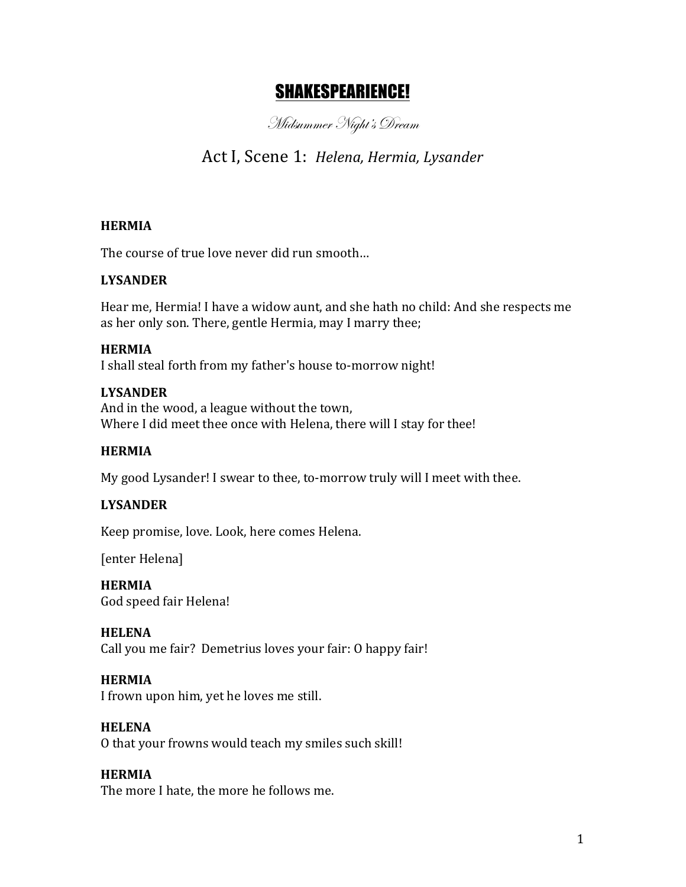# SHAKESPEARIENCE!

Midsummer Night's Dream

# Act I, Scene 1: *Helena, Hermia, Lysander*

## **HERMIA**

The course of true love never did run smooth...

## **LYSANDER**

Hear me, Hermia! I have a widow aunt, and she hath no child: And she respects me as her only son. There, gentle Hermia, may I marry thee;

#### **HERMIA**

I shall steal forth from my father's house to-morrow night!

#### **LYSANDER**

And in the wood, a league without the town, Where I did meet thee once with Helena, there will I stay for thee!

#### **HERMIA**

My good Lysander! I swear to thee, to-morrow truly will I meet with thee.

# **LYSANDER**

Keep promise, love. Look, here comes Helena.

[enter Helena]

**HERMIA** God speed fair Helena!

#### **HELENA**

Call you me fair? Demetrius loves your fair: O happy fair!

#### **HERMIA**

I frown upon him, yet he loves me still.

#### **HELENA**

O that your frowns would teach my smiles such skill!

#### **HERMIA**

The more I hate, the more he follows me.